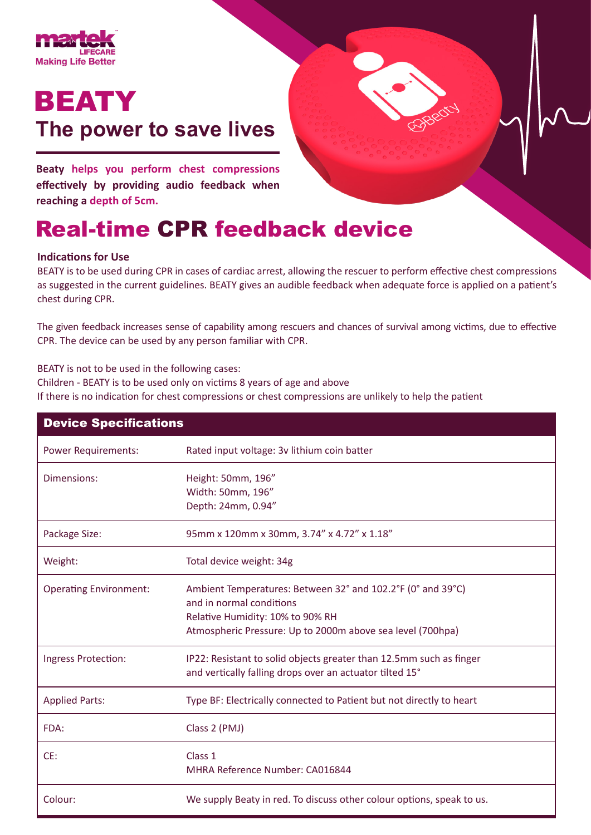

# BEATY **The power to save lives**

**Beaty helps you perform chest compressions effectively by providing audio feedback when reaching a depth of 5cm.**

## Real-time CPR feedback device

#### **Indications for Use**

BEATY is to be used during CPR in cases of cardiac arrest, allowing the rescuer to perform effective chest compressions as suggested in the current guidelines. BEATY gives an audible feedback when adequate force is applied on a patient's chest during CPR.

The given feedback increases sense of capability among rescuers and chances of survival among victims, due to effective CPR. The device can be used by any person familiar with CPR.

BEATY is not to be used in the following cases:

Children - BEATY is to be used only on victims 8 years of age and above

If there is no indication for chest compressions or chest compressions are unlikely to help the patient

| <b>Device Specifications</b>  |                                                                                                                                                                                           |
|-------------------------------|-------------------------------------------------------------------------------------------------------------------------------------------------------------------------------------------|
| <b>Power Requirements:</b>    | Rated input voltage: 3v lithium coin batter                                                                                                                                               |
| Dimensions:                   | Height: 50mm, 196"<br>Width: 50mm, 196"<br>Depth: 24mm, 0.94"                                                                                                                             |
| Package Size:                 | 95mm x 120mm x 30mm, 3.74" x 4.72" x 1.18"                                                                                                                                                |
| Weight:                       | Total device weight: 34g                                                                                                                                                                  |
| <b>Operating Environment:</b> | Ambient Temperatures: Between 32° and 102.2°F (0° and 39°C)<br>and in normal conditions<br>Relative Humidity: 10% to 90% RH<br>Atmospheric Pressure: Up to 2000m above sea level (700hpa) |
| Ingress Protection:           | IP22: Resistant to solid objects greater than 12.5mm such as finger<br>and vertically falling drops over an actuator tilted 15°                                                           |
| <b>Applied Parts:</b>         | Type BF: Electrically connected to Patient but not directly to heart                                                                                                                      |
| FDA:                          | Class 2 (PMJ)                                                                                                                                                                             |
| CE:                           | Class 1<br>MHRA Reference Number: CA016844                                                                                                                                                |
| Colour:                       | We supply Beaty in red. To discuss other colour options, speak to us.                                                                                                                     |